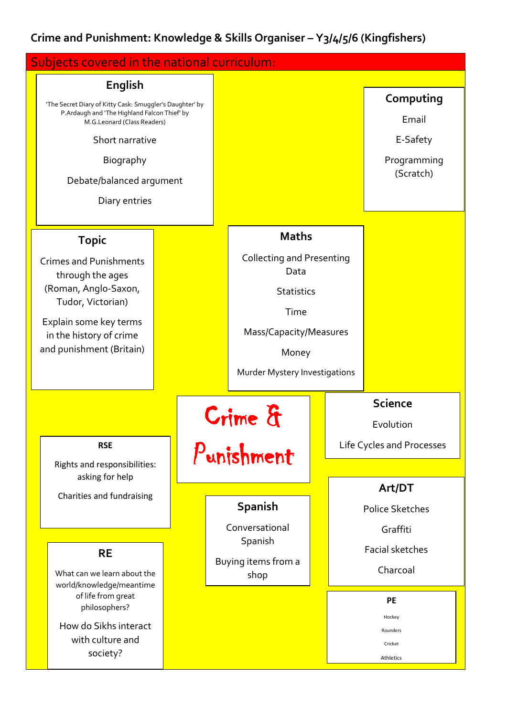## **Crime and Punishment: Knowledge & Skills Organiser – Y3/4/5/6 (Kingfishers)**

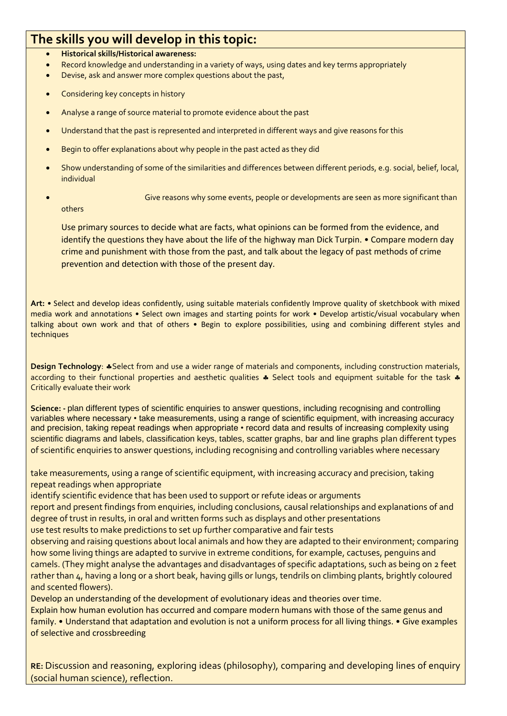## **The skills you will develop in this topic:**

- **Historical skills/Historical awareness:**
- Record knowledge and understanding in a variety of ways, using dates and key terms appropriately
- Devise, ask and answer more complex questions about the past,
- Considering key concepts in history
- Analyse a range of source material to promote evidence about the past
- Understand that the past is represented and interpreted in different ways and give reasons for this
- Begin to offer explanations about why people in the past acted as they did
- Show understanding of some of the similarities and differences between different periods, e.g. social, belief, local, individual
- Give reasons why some events, people or developments are seen as more significant than others

Use primary sources to decide what are facts, what opinions can be formed from the evidence, and identify the questions they have about the life of the highway man Dick Turpin. • Compare modern day crime and punishment with those from the past, and talk about the legacy of past methods of crime prevention and detection with those of the present day.

**Art:** • Select and develop ideas confidently, using suitable materials confidently Improve quality of sketchbook with mixed media work and annotations • Select own images and starting points for work • Develop artistic/visual vocabulary when talking about own work and that of others • Begin to explore possibilities, using and combining different styles and techniques

**Design Technology: \*Select from and use a wider range of materials and components, including construction materials,** according to their functional properties and aesthetic qualities  $\clubsuit$  Select tools and equipment suitable for the task  $\clubsuit$ Critically evaluate their work

**Science: -** plan different types of scientific enquiries to answer questions, including recognising and controlling variables where necessary • take measurements, using a range of scientific equipment, with increasing accuracy and precision, taking repeat readings when appropriate • record data and results of increasing complexity using scientific diagrams and labels, classification keys, tables, scatter graphs, bar and line graphs plan different types of scientific enquiries to answer questions, including recognising and controlling variables where necessary

take measurements, using a range of scientific equipment, with increasing accuracy and precision, taking repeat readings when appropriate

identify scientific evidence that has been used to support or refute ideas or arguments

report and present findings from enquiries, including conclusions, causal relationships and explanations of and degree of trust in results, in oral and written forms such as displays and other presentations

use test results to make predictions to set up further comparative and fair tests

observing and raising questions about local animals and how they are adapted to their environment; comparing how some living things are adapted to survive in extreme conditions, for example, cactuses, penguins and camels. (They might analyse the advantages and disadvantages of specific adaptations, such as being on 2 feet rather than 4, having a long or a short beak, having gills or lungs, tendrils on climbing plants, brightly coloured and scented flowers).

Develop an understanding of the development of evolutionary ideas and theories over time.

Explain how human evolution has occurred and compare modern humans with those of the same genus and family. • Understand that adaptation and evolution is not a uniform process for all living things. • Give examples of selective and crossbreeding

**RE:** Discussion and reasoning, exploring ideas (philosophy), comparing and developing lines of enquiry (social human science), reflection.